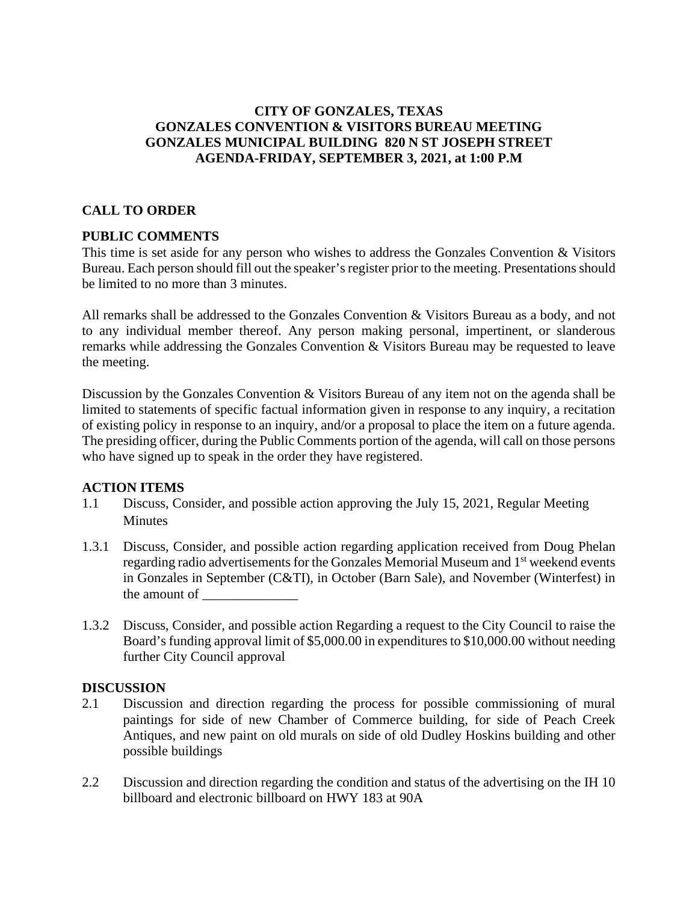# **CITY OF GONZALES, TEXAS GONZALES CONVENTION & VISITORS BUREAU MEETING GONZALES MUNICIPAL BUILDING 820 N ST JOSEPH STREET AGENDA-FRIDAY, SEPTEMBER 3, 2021, at 1:00 P.M**

# **CALL TO ORDER**

### **PUBLIC COMMENTS**

This time is set aside for any person who wishes to address the Gonzales Convention & Visitors Bureau. Each person should fill out the speaker's register prior to the meeting. Presentations should be limited to no more than 3 minutes.

All remarks shall be addressed to the Gonzales Convention & Visitors Bureau as a body, and not to any individual member thereof. Any person making personal, impertinent, or slanderous remarks while addressing the Gonzales Convention & Visitors Bureau may be requested to leave the meeting.

Discussion by the Gonzales Convention & Visitors Bureau of any item not on the agenda shall be limited to statements of specific factual information given in response to any inquiry, a recitation of existing policy in response to an inquiry, and/or a proposal to place the item on a future agenda. The presiding officer, during the Public Comments portion of the agenda, will call on those persons who have signed up to speak in the order they have registered.

### **ACTION ITEMS**

- 1.1 Discuss, Consider, and possible action approving the July 15, 2021, Regular Meeting **Minutes**
- 1.3.1 Discuss, Consider, and possible action regarding application received from Doug Phelan regarding radio advertisements for the Gonzales Memorial Museum and 1<sup>st</sup> weekend events in Gonzales in September (C&TI), in October (Barn Sale), and November (Winterfest) in the amount of
- 1.3.2 Discuss, Consider, and possible action Regarding a request to the City Council to raise the Board's funding approval limit of \$5,000.00 in expenditures to \$10,000.00 without needing further City Council approval

#### **DISCUSSION**

- 2.1 Discussion and direction regarding the process for possible commissioning of mural paintings for side of new Chamber of Commerce building, for side of Peach Creek Antiques, and new paint on old murals on side of old Dudley Hoskins building and other possible buildings
- 2.2 Discussion and direction regarding the condition and status of the advertising on the IH 10 billboard and electronic billboard on HWY 183 at 90A